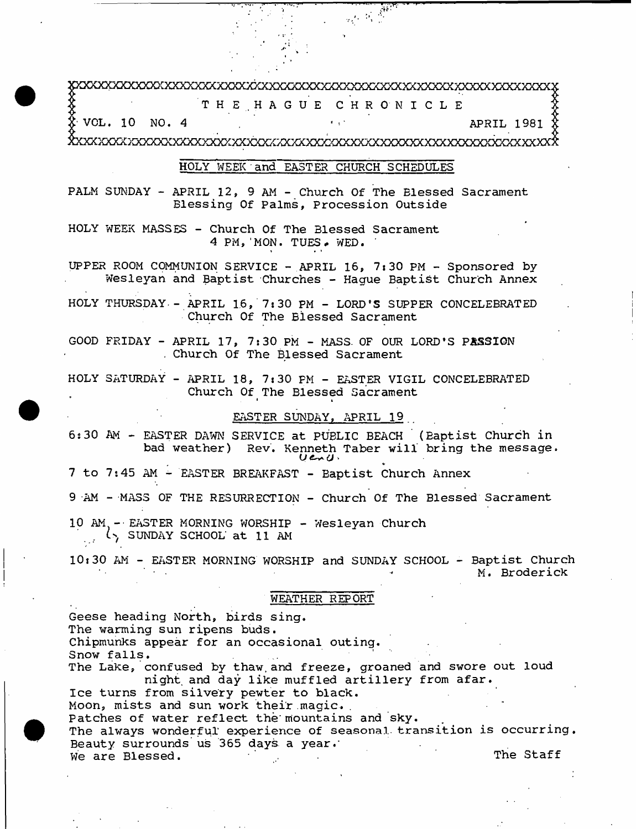3pOCaoqGQOaOQCXXXXXXXXXXXXkxXXXXXXXXXXXXXXXXXXXXXXXXXXXXXXXXXXXXXX2C TH E . H A G U E C H R O N I C L E  $\text{\texttt{\&} Vol. 10}$  NO. 4  $\texttt{APRIL} 1981$ 

jboCXXXXXXXXXXXXXXXXXXJOOOQCXXXXXXXXXXXXXXXXXXXXXXXXXXXXXXXXXXXXXXXX

# HOLY WEEK~and~EASTER CHURCH SCHEDULES

PALM SUNDAY - APRIL 12, 9 AM - Church Of The Blessed Sacrament Blessing Of Palms, Procession Outside

HOLY WEEK MASSES - Church Of The Blessed Sacrament 4 PM, MON. TUES. WED.

UPPER ROOM COMMUNION SERVICE - APRIL 16, 7:30 PM - Sponsored by-Wesleyan and Baptist Churches - Hague Baptist Church Annex

HOLY THURSDAY - APRIL 16, 7:30 PM - LORD'S SUPPER CONCELEBRATED Church Of The Blessed Sacrament

GOOD FRIDAY - APRIL 17, 7:30 PM - MASS. OF OUR LORD'S PASSION . Church Of The Blessed Sacrament

HOLY SATURDAY - APRIL 18, 7:30 PM - EASTER VIGIL CONCELEBRATED Church Of The Blessed Sacrament

# EASTER SUNDAY, APRIL 19

6:30 AM - EASTER DAWN SERVICE at PUBLIC BEACH (Baptist Church in bad weather) Rev. Kenneth Taber will bring the message.<br>Used

7 to 7:45 AM - EASTER BREAKFAST - Baptist Church Annex

9 AM - MASS OF THE RESURRECTION - Church Of The Blessed Sacrament

10 AM -EASTER MORNING WORSHIP - Wesleyan Church SUNDAY SCHOOL at 11 AM

10:30 AM - EASTER MORNING WORSHIP and SUNDAY SCHOOL - Baptist Church M. Broderick

#### WEATHER REPORT

Geese heading North, birds sing. The warming sun ripens buds. Chipmunks appear for an occasional outing. Snow falls. The Lake, confused by thaw.and freeze, groaned and swore out loud night, and day like muffled artillery from afar. Ice turns from silvery pewter to black. Moon, mists and sun work their magic. . Patches of water reflect the mountains and sky. The always wonderful experience of seasonal transition is occurring. Beauty surrounds'us 365 days a year.' We are Blessed. The Staff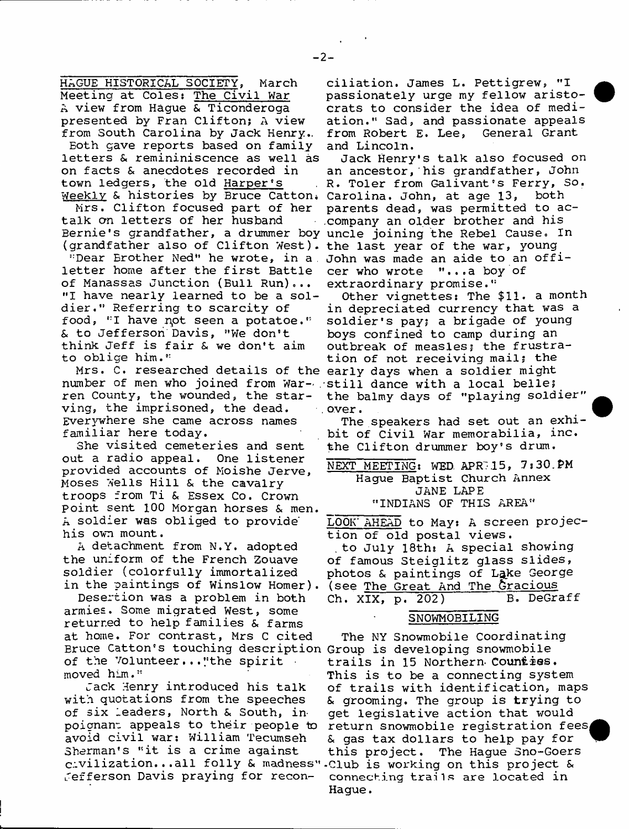HAGUE HISTORICAL SOCIETY, March Meeting at Coles: The Civil War A view from Hague & Ticonderoga presented by Fran Clifton; A view from South Carolina by Jack Henry..

Eoth gave reports based on family letters & remininiscence as well as on facts & anecdotes recorded in town ledgers, the old Harper's

Mrs. Clifton focused part of her talk on letters of her husband Bernie's grandfather, a drummer boy uncle joining the Rebel Cause, In

"Dear Erother Ned" he wrote, in a , John was made an aide to an offiletter home after the first Battle of Manassas Junction (Bull Run)... "I have nearly learned to be a soldier." Referring to scarcity of food, "I have not seen a potatoe." & to Jefferson Davis, "We don't think Jeff is fair & we don't aim to oblige him."

number of men who joined from War- . still dance with a local belle; ren County, the wounded, the starving, the imprisoned, the dead. Everywhere she came across names familiar here today.

She visited cemeteries and sent out a radio appeal. One listener provided accounts of Moishe Jerve, Moses Wells Hill & the cavalry troops from Ti & Essex Co. Crown point sent 100 Morgan horses & men. A soldier was obliged to provide' his own mount.

A detachment from N.Y. adopted the uniform of the French Zouave soldier (colorfully immortalized in the paintings of Winslow Homer).

Desertion was a problem in both armies. Some migrated West, some returned to help families & farms at home. For contrast, Mrs C cited Bruce Catton's touching description Group is developing snowmobile of the Volunteer..."the spirit moved him."

Jack Henry introduced his talk with quotations from the speeches of six leaders, North & South, inpoignanr appeals to their people to avoid civil war: William Tecumseh Sherman's "it is a crime against civilization,..all folly & madness" •Club is working on this project & Jefferson Davis praying for recon-

ciliation. James L. Pettigrew, "I passionately urge my fellow aristocrats to consider the idea of mediation." Sad, and passionate appeals from Robert E. Lee, General Grant and Lincoln.

Weekly & histories by Bruce Catton. Carolina. John, at age 13, both (grandfather also of Clifton West). the last year of the war, young Jack Henry's talk also focused on an ancestor, his grandfather, John R. Toler from Galivant's Ferry, So. parents dead, was permitted to ac- .company an older brother and his cer who wrote "... a boy of extraordinary promise."

Mrs. C. researched details of the early days when a soldier might Other vignettes: The \$11. a month in depreciated currency that was a soldier's pay; a brigade of young boys confined to camp during an outbreak of measles; the frustration of not receiving mail; the the balmy days of "playing soldier" over.

> The speakers had set out an exhibit of Civil War memorabilia, inc. the Clifton drummer boy's drum.

NEXT MEETING: WED APR 15, 7:30.PM Hague Baptist Church Annex JANE LAPE "INDIANS OF THIS AREA"

LOOK' AHEAD to May: A screen projection of old postal views.

to July 18th: A special showing of famous Steiglitz glass slides, photos & paintings of Lake George (see The Great And The Gracious Ch. XIX, p. 202) B. DeGraff

### SNOWMOBILING

The NY Snowmobile Coordinating trails in 15 Northern Counties. This is to be a connecting system of trails with identification, maps & grooming. The group is trying to get legislative action that would return snowmobile registration fees & gas tax dollars to help pay for this project. The Hague Sno-Goers connecting trails are located in Hague.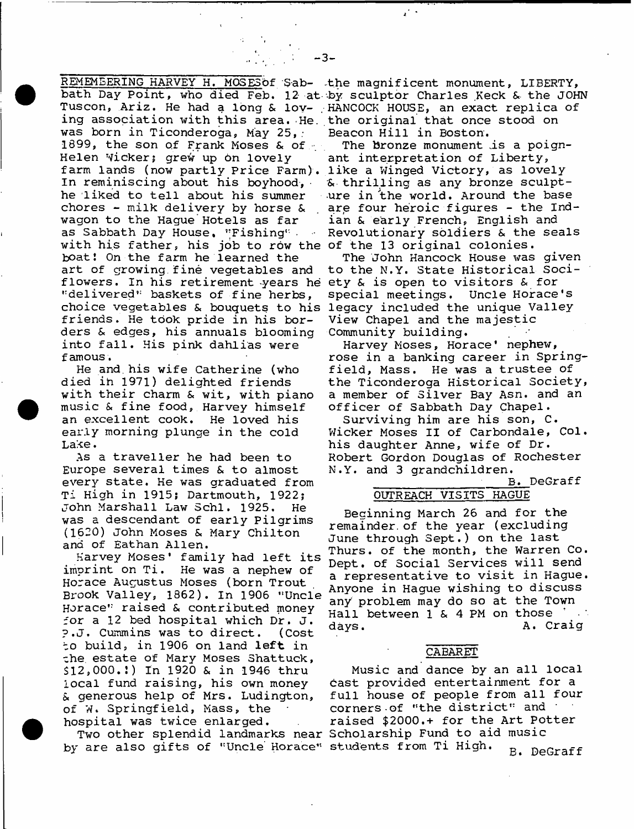REMEMEERING HARVEY H. MOSESOf Sab- the magnificent monument, LIBERTY, ing association with this area. He. the original that once stood on was born in Ticonderoga, May 25,; 1899, the son of Frank Moses & of  $\sim$ Helen wicker; grew up on lovely farm lands (now partly Price Farm). like a Winged Victory, as lovely In reminiscing about his boyhood, he liked to tell about his summer chores - milk delivery by horse & wagon to the Hague Hotels as far as Sabbath Day House, "Fishing".  $\sim 10^{-11}$ with his father, his job to row the of the 13 original colonies. boat! On the farm he learned the art of growing.fine vegetables and flowers. In his retirement -years he ety *St* is open to visitors & for "delivered" baskets of fine herbs, choice vegetables & bouquets to his legacy included the unique Valley friends. He took pride in his borders & edges, his annuals blooming into fall. His pink dahlias were famous.

He and. his wife Catherine (who died in 1971) delighted friends with their charm & wit, with piano music & fine food, Harvey himself an excellent cook. He loved his early morning plunge in the cold Lake.

As a traveller he had been to Europe several times & to almost every state. He was graduated from Ti High in 1915; Dartmouth, 1922; John Marshall Law Schl. 1925. He was a descendant of early Pilgrims (1620) John Moses & Mary Chilton ana of Eathan Allen.

Harvey Moses\* family had left its imprint on Ti. He was a nephew of Horace Augustus Moses (born Trout Brook Valley, 1862). In 1906 "Uncle Horace" raised & contributed money for a 12 bed hospital which Dr. J. ?.J, Cummins was to direct. (Cost *t o* build, in 1906 on land left in che. estate of Mary Moses Shattuck, \$12,000.!) In 1920 & in 1946 thru local fund raising, his own money *St* generous help of Mrs. Ludington, of W. Springfield, Mass, the hospital was twice enlarged.

by are also gifts of "Uncle Horace" students from Ti High. <sub>P. DeC</sub>

bath Day Point, who died Feb. 12 at by sculptor Charles Keck & the JOHN Tuscon, Ariz. He had a long & lov-HANCOCK HOUSE, an exact replica of Beacon Hill in Boston.

> The bronze monument .is a poignant interpretation of Liberty, *St* thrilling as any bronze sculpture in the world. Around the base are four heroic figures - the Indian & early French, English and Revolutionary soldiers & the seals

> The John Hancock House was given to the N.Y. State Historical Socispecial meetings. Uncle Horace's View Chapel and the majestic Community building.

Harvey Moses, Horace' nephew, rose in a banking career in Springfield, Mass. He was a trustee of the Ticonderoga Historical Society, a member of Silver Bay Asn. and an officer of Sabbath Day Chapel.

Surviving him are his son, C. Wicker Moses II of Carbondale, Col. his daughter Anne, wife of Dr. Robert Gordon Douglas of Rochester N.Y. and 3 grandchildren.

# \_\_\_\_\_\_\_\_\_\_\_\_\_\_ B. DeGraff OUTREACH VISITS HAGUE

Beginning March 26 and for the remainder, of the year (excluding June through Sept.) on the last Thurs. of the month, the Warren Co. Dept, of Social Services will send a representative to visit in Hague. Anyone in Hague wishing to discuss any problem may do so at the Town<br>Hall between 1 & 4 PM on those Hall between  $1 \times 4$  PM on those days. A. Craig

#### CABARET

Two other splendid landmarks near Scholarship Fund to aid music Music and dance by an all local cast provided entertainment for a full house of people from all four corners of "the district" and \* raised \$2000.+ for the Art Potter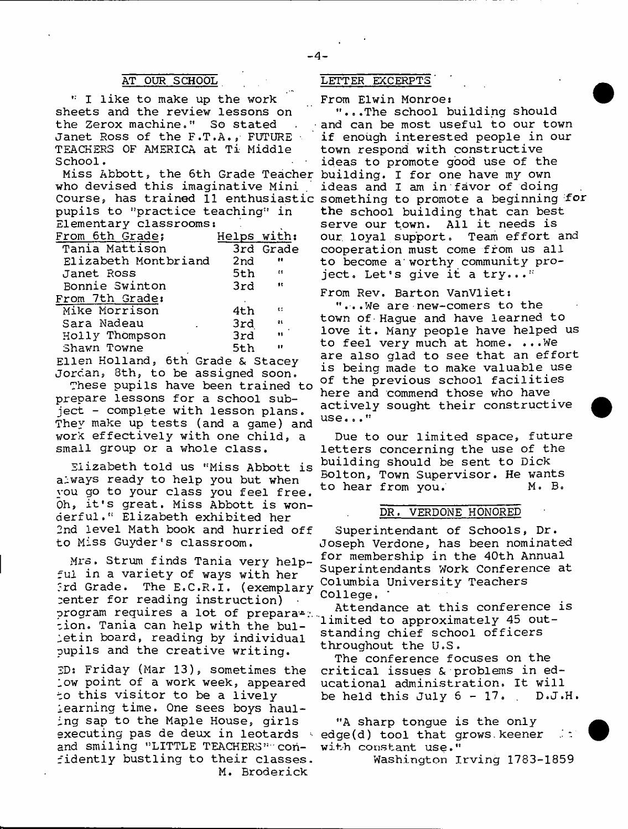I like to make up the work sheets and the review lessons on the Zerox machine." So stated Janet Ross of the F.T.A., FUTURE • TEACHERS OF AMERICA at Ti Middle School.

Miss Abbott, the 6th Grade Teacher building. I for one have my own who devised this imaginative Mini pupils to "practice teaching" in Elementary classrooms!

| From 6th Grade;                    | Helps with: |                          |
|------------------------------------|-------------|--------------------------|
| Tania Mattison                     |             | 3rd Grade                |
| Elizabeth Montbriand               | 2nd         | <b>et</b>                |
| Janet Ross                         | 5th         | $\mathbf{f}$             |
| Bonnie Swinton                     | 3rd         | $\overline{\phantom{a}}$ |
| From 7th Grade:                    |             |                          |
| Mike Morrison                      | 4th         | <b>CO</b>                |
| Sara Nadeau                        | 3rd         | $\mathbf{B}$             |
| Holly Thompson                     | 3rd         | $\bullet\bullet$         |
| Shawn Towne                        | 5th         | $\mathbf{H}$             |
| Ath Crono C Ctoon<br>eilen Uolland |             |                          |

Ellen Hollands 6th Grade & Stacey Jordan, 8th, to be assigned soon.

These pupils have been trained to prepare lessons for a school subject - complete with lesson plans. They make up tests (and a game) and work effectively with one child, a small group or a whole class.

Elizabeth told us "Miss Abbott is always ready to help you but when you go to your class you feel free. Oh, it's great. Miss Abbott is wonderful." Elizabeth exhibited her 2nd level Math book and hurried off to Miss Guyder's classroom.

Mrs, Strum finds Tania very helpful in a variety of ways with her Ird Grade. The E.C.R.I. (exemplary center for reading instruction) program requires a lot of prepara\*:. cion. Tania can help with the bulletin board, reading by individual pupils and the creative writing.

ED: Friday (Mar 13), sometimes the low point of a work week, appeared to this visitor to be a lively learning time. One sees boys hauling sap to the Maple House, girls and smiling "LITTLE TEACHERS" confidently bustling to their classes. M. Broderick

#### AT OUR SCHOOL LETTER EXCERPTS

From Elwin Monroe:

Course, has trained 11 enthusiastic something to promote a beginning for "...The school building should and can be most useful to our town if enough interested people in our town respond with constructive ideas to promote good use of the ideas and I am in favor of doing the school building that can best serve our town. All it needs is<br>our loyal support. Team effort and our loyal support. cooperation must come from us all to become a worthy community project, Let's give it a try..."

> From Rev. Barton VanVliet: "...We are new-comers to the town of-Hague and have learned to love it. Many people have helped us to feel very much at home. ...We are also glad to see that an effort is being made to make valuable use of the previous school facilities here and commend those who have actively sought their constructive use..."

Due to our limited space, future letters concerning the use of the building should be sent to Dick Bolton, Town Supervisor. He wants to hear from you. M. B.

### DR. VERDONE HONORED

Superintendant of Schools, Dr. Joseph Verdone, has been nominated for membership in the 40th Annual Superintendants Work Conference at Columbia University Teachers College.

Attendance at this conference is limited to approximately 45 outstanding chief school officers throughout the U.S.

The conference focuses on the critical issues & problems in educational administration. It will be held this July  $6-17$ . D.J.H.

executing pas de deux in leotards (edge(d) tool that grows. keener at "A sharp tongue is the only with constant use."

Washington Irving 1783-1859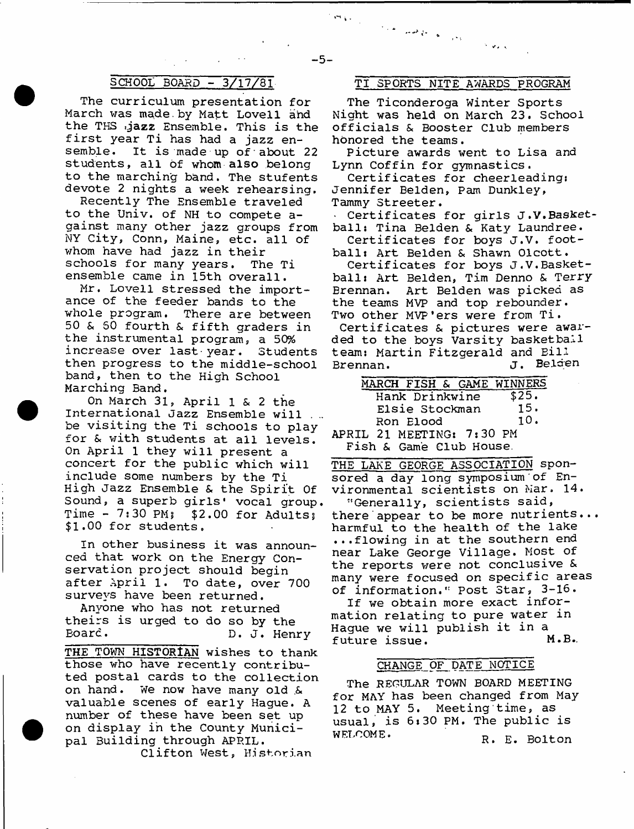# SCHOOL BOARD - 3/17/81

The curriculum presentation for March was made.by Matt Lovell and the THS gazz Ensemble. This is the first year Ti has had a jazz ensemble. It is made up of'about 22 students, all of whom also belong to the marching band. The stufents devote 2 nights a week rehearsing.

Recently The Ensemble traveled to the Univ. of NH to compete against many other jazz groups from NY City, Conn, Maine, etc. all of whom have had jazz in their schools for many years. The Ti ensemble came in 15th overall.

Mr. Lovell stressed the importance of the feeder bands to the whole program. There are between 50 & 50 fourth & fifth graders in the instrumental program, a 50% increase over last-year. Students then progress to the middle-school band, then to the High School Marching Band.

On March 31, April 1 & 2 the International Jazz Ensemble will . .. be visiting the Ti schools to play for & with students at all levels. On April 1 they will present a concert for the public which will include some numbers by the Ti High Jazz Ensemble & the Spirit Of Sound, a superb girls' vocal group. Time -  $7:30$  PM;  $$2.00$  for Adults; \$1.00 for students.

In other business it was announced that work on the Energy Conservation project should begin after April 1. To date, over 700 surveys have been returned.

Anyone who has not returned theirs is urged to do so by the Board. D. J. Henry

THE TOWN HISTORIAN wishes to thank those who have recently contributed postal cards to the collection on hand. We now have many old .& valuable scenes of early Hague. A number of these have been set up on display in the County Municipal 3uilding through APRIL.

Clifton West, Historian

## TI SPORTS NITE AWARDS PROGRAM

 $\mathcal{N}$  with  $\mathcal{N}$ 

الوحوان والتعاق فللمرار الأندار

The Ticonderoga Winter Sports Night was held on March 23. School officials & Booster Club members honored the teams.

Picture awards went to Lisa and Lynn Coffin for gymnastics.

Certificates for cheerleading: Jennifer Belden, Pam Dunkley, Tammy Streeter.

Certificates for girls J.V.Basketball: Tina Belden & Katy Laundree.

Certificates for boys J.V. football: Art Belden & Shawn Olcott.

Certificates for boys J.V.Basketball: Art Belden, Tim Denno & Terry Erennan. Art Belden was picked as the teams MVP and top rebounder. Two other MVP'ers were from Ti. Certificates & pictures were awar-

ded to the boys Varsity basketball team: Martin Fitzgerald and Bill Brennan. J. Belgen

| MARCH FISH & GAME WINNERS |       |
|---------------------------|-------|
| Hank Drinkwine            | \$25. |
| Elsie Stockman            | 15.   |
| Ron Elood                 | 10.   |
| 21 MERTING, 7.30 DM<br>тт |       |

APRIL 21 MEETING: 7:30 PM Fish & Game Club House.

THE LAKE GEORGE ASSOCIATION sponsored a day long symposium of Environmental scientists on Mar. 14. "Generally, scientists said, there appear to be more nutrients... harmful to the health of the lake ...flowing in at the southern end near Lake George Village. Most of the reports were not conclusive & many were focused on specific areas of information." Post Star, 3-16.

If we obtain more exact information relating to pure water in Hague we will publish it in a future issue. M.B.,

#### CHANGE OF DATE NOTICE

The REGULAR TOWN BOARD MEETING for MAY has been changed from May 12 to MAY 5. Meeting'time, as usual, is 6:30 PM. The public is WELCOME. R. E. Bolton

 $\mathcal{P}^{\mathbf{q}}(\mathbf{q})$  .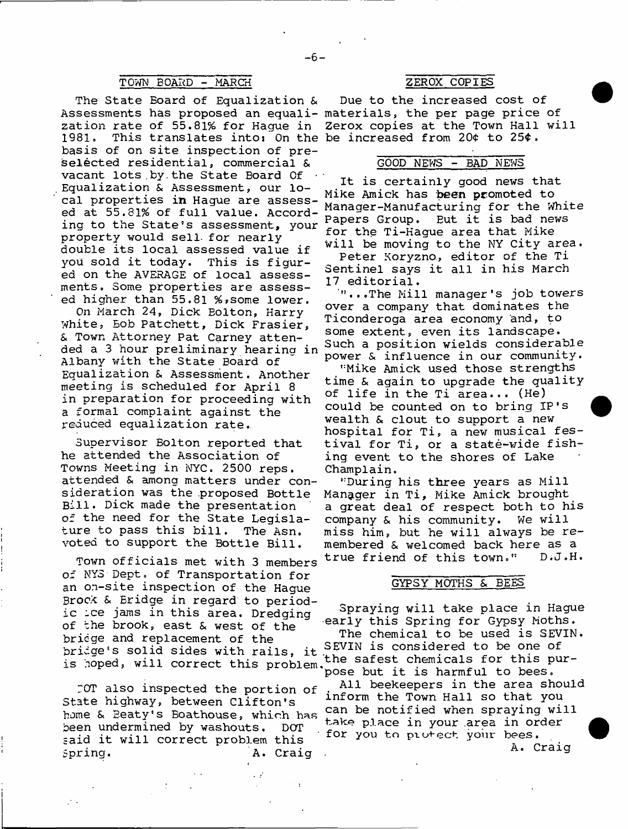# TOWN BOARD - MARCH ZEROX COPIES

The State Board of Equalization & Assessments has proposed an equali-materials, the per page price of zation rate of 55.81% for Hague in<br>1981. This translates into: On the 1981. This translates into: On the be increased from 20¢ to 25¢. basis of on site inspection of preselected residential, commercial & vacant lots.by.the State Board Of • Equalization & Assessment, our local properties in Hague are assessed at 55.81% of full value. According to the State's assessment, your property would sell- for nearly double its local assessed value if you sold it today. This is figured on the AVERAGE of local assessments. Some properties are assessed higher than 55.81 %, some lower.

On March 24, Dick Eolton, Harry White, Bob Patchett, Dick Frasier, & Town Attorney Pat Carney attended a 3 hour preliminary hearing i Albany with the State Board of Equalization & Assessment. Another meeting is scheduled for April 8 in preparation for proceeding with a formal complaint against the reduced equalization rate.

Supervisor Bolton reported that he attended the Association of Towns Meeting in NYC, 2500 reps, attended & among matters under consideration was the .proposed Bottle Bill. Dick made the presentation of the need for the State Legislature to pass this bill. The Asn. voted to support the Bottle Bill.

Town officials met with 3 members of NY3 Dept, of Transportation for an on-site inspection of the Hague Brock & Eridge in regard to periodic ice jams in this area. Dredging of the brook, east & west of the bridge and replacement of the bridge's solid sides with rails, it is hoped, will correct this problem.

TOT also inspected the portion of State highway, between Clifton's home & Beaty's Boathouse, which has been undermined by washouts. DOT said it will correct problem this Spring. A. Craig

 $\ddot{\phantom{0}}$ 

Due to the increased cost of Zerox copies at the Town Hall will

## GOOD NEWS - BAD NEWS

It is certainly good news that Mike Amick has been promoted to Manager-Manufacturing for the White Papers Group. Eut it is bad news for the Ti-Hague area that Mike will be moving to the NY City area.

Peter Koryzno., editor of the Ti Sentinel says it all in his March 17 editorial.

"...The Mill manager's job towers over a company that dominates the Ticonderoga area economy and, to some extent, even its landscape. Such a position wields considerable power & influence in our community.

"Mike Amick used those strengths time & again to upgrade the quality of life in the Ti area... (He) could be counted on to bring IP's wealth & clout to support a new hospital for Ti, a new musical festival for Ti, or a state-wide fishing event to the shores of Lake Champlain.

"During his three years as Mill Manager in Ti, Mike Amick brought a great deal of respect both to his company & his community. We will miss him, but he will always be remembered & welcomed back here as a true friend of this town." D.J.H.

#### GYPSY MOTHS & BEES

Spraying will take place in Hague early this Spring for Gypsy Moths. The chemical to be used is SEVIN. SEVIN is considered to be one of the safest chemicals for this pur- 'pose but it is harmful to bees. All beekeepers in the area should inform the Town Hall so that you can be notified when spraying will take place in your .area in order for you to protect your bees. A. Craig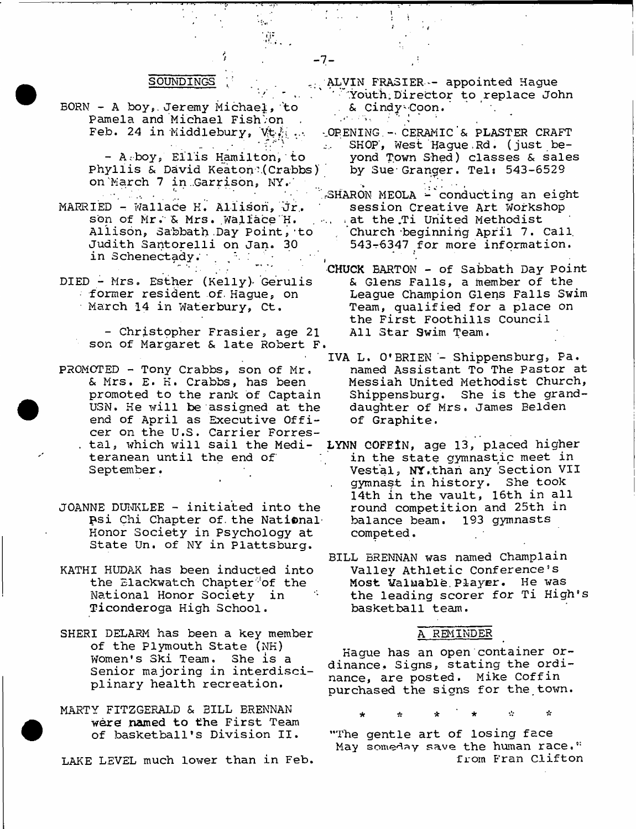#### SOUNDINGS

*t* - 7-

 $\epsilon_{\rm eff}$  .

\* ; -

- BORN A boy,, Jeremy Michael, 'to Pamela and Michael Fishbon Feb. 24 in Middlebury, Vt<sub>.</sub>
	- A-boy, Ellis Hamilton,'to Phyllis & David Keaton?.( Crabbs) on March 7 in Garrison, NY.
- MARRIED Wallace K. Allison, Jr.. son of Mr. & Mrs. Wallace H. Allison, Sabbath .Day Point,'to Judith Santorelli on Jan. 30 in Schenectady.
- DIED Mrs. Esther (Kelly)- Gerulis former resident of. Hague, on March 14 in Waterbury, Ct.
	- Christopher Frasier, age 21 son of Margaret & late Robert F
- PROMOTED Tony Crabbs, son of Mr. & Mrs. E. H. Crabbs, has been promoted to the rank of Captain U3N. He will be assigned at the end of April as Executive Officer on the U.S. Carrier Forres- . tal, which will sail the Mediteranean until the end of September.
- JOANNE DUNKLEE initiated into the psi Chi Chapter of. the National' Honor Society in Psychology at State Un. of NY in Plattsburg.
- KATHI HUDAK has been inducted into the Blackwatch Chapter<sup> $\partial$ </sup> of the National Honor Society in Ticonderoga High School.
- SHERI DELARM has been a key member of the Plymouth State (NK) Women's Ski Team. She is a Senior majoring in interdisciplinary health recreation.
- MARTY FITZGERALD & BILL BRENNAN were named to the First Team of basketball's Division II.
- LAKE LEVEL much lower than in Feb.

ALVIN FRASIER — appointed Hague ' 'Youth,Director to replace John . & Cindy'Coon.

- -..OPENING . CERAMIC'& PLASTER CRAFT SHOP', West Hague.Rd. (just be- $\Delta$  . yond Town Shed) classes & sales by Sue Granger. Tel: 543-6529
- rSHARON MEOLA -'conducting an eight session Creative Art Workshop at the Ti United Methodist Church beginning April 7. Call. 543-6347 for more information.
- 'CHUCK BARTON of Sabbath Day Point & Glens Falls, a member of the League Champion Glens Falls Swim Team, qualified for a place on the First Foothills Council All Star Swim Team.
- IVA L. O'BRIEN Shippensburg, Pa. named Assistant To The pastor at Messiah United Methodist Church, Shippensburg. She is the granddaughter of Mrs. James Belden of Graphite.
- LYNN COFEIN, age 13, placed higher in the state gymnastic meet in Vestal, NY.than any Section VII gymnast in history. She took 14th in the vault, 16th in all round competition and 25th in balance beam. 193 gymnasts competed.
- BILL BRENNAN was named Champlain Valley Athletic Conference's Most Valuable. Player. He was the leading scorer for Ti High's basketball team.

#### A REMINDER

Hague has an open container ordinance, Signs, stating the ordinance, are posted. Mike Coffin purchased the signs for the town.

'The gentle art of losing face May someday save the human race." from Fran Clifton

÷